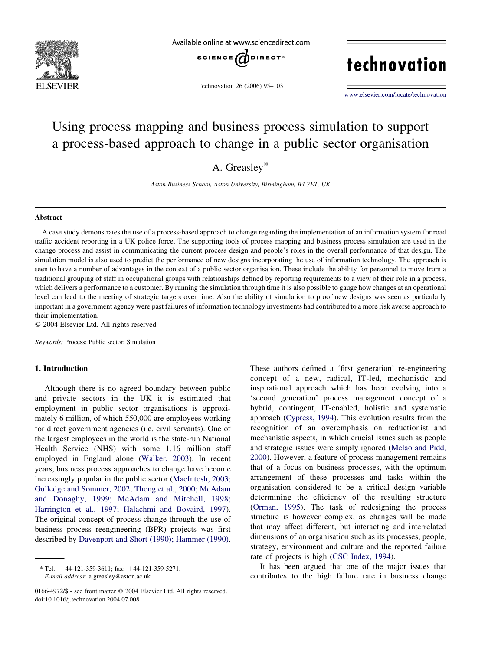

Available online at www.sciencedirect.com



Technovation 26 (2006) 95–103

technovation

[www.elsevier.com/locate/technovation](http://www.elsevier.com/locate/technovation)

# Using process mapping and business process simulation to support a process-based approach to change in a public sector organisation

A. Greasley\*

Aston Business School, Aston University, Birmingham, B4 7ET, UK

#### Abstract

A case study demonstrates the use of a process-based approach to change regarding the implementation of an information system for road traffic accident reporting in a UK police force. The supporting tools of process mapping and business process simulation are used in the change process and assist in communicating the current process design and people's roles in the overall performance of that design. The simulation model is also used to predict the performance of new designs incorporating the use of information technology. The approach is seen to have a number of advantages in the context of a public sector organisation. These include the ability for personnel to move from a traditional grouping of staff in occupational groups with relationships defined by reporting requirements to a view of their role in a process, which delivers a performance to a customer. By running the simulation through time it is also possible to gauge how changes at an operational level can lead to the meeting of strategic targets over time. Also the ability of simulation to proof new designs was seen as particularly important in a government agency were past failures of information technology investments had contributed to a more risk averse approach to their implementation.

 $©$  2004 Elsevier Ltd. All rights reserved.

Keywords: Process; Public sector; Simulation

### 1. Introduction

Although there is no agreed boundary between public and private sectors in the UK it is estimated that employment in public sector organisations is approximately 6 million, of which 550,000 are employees working for direct government agencies (i.e. civil servants). One of the largest employees in the world is the state-run National Health Service (NHS) with some 1.16 million staff employed in England alone ([Walker, 2003\)](#page--1-0). In recent years, business process approaches to change have become increasingly popular in the public sector ([MacIntosh, 2003;](#page--1-0) [Gulledge and Sommer, 2002; Thong et al., 2000; McAdam](#page--1-0) [and Donaghy, 1999; McAdam and Mitchell, 1998;](#page--1-0) [Harrington et al., 1997; Halachmi and Bovaird, 1997\)](#page--1-0). The original concept of process change through the use of business process reengineering (BPR) projects was first described by [Davenport and Short \(1990\); Hammer \(1990\)](#page--1-0).

E-mail address: a.greasley@aston.ac.uk.

These authors defined a 'first generation' re-engineering concept of a new, radical, IT-led, mechanistic and inspirational approach which has been evolving into a 'second generation' process management concept of a hybrid, contingent, IT-enabled, holistic and systematic approach [\(Cypress, 1994](#page--1-0)). This evolution results from the recognition of an overemphasis on reductionist and mechanistic aspects, in which crucial issues such as people and strategic issues were simply ignored (Melão and Pidd, [2000](#page--1-0)). However, a feature of process management remains that of a focus on business processes, with the optimum arrangement of these processes and tasks within the organisation considered to be a critical design variable determining the efficiency of the resulting structure ([Orman, 1995\)](#page--1-0). The task of redesigning the process structure is however complex, as changes will be made that may affect different, but interacting and interrelated dimensions of an organisation such as its processes, people, strategy, environment and culture and the reported failure rate of projects is high ([CSC Index, 1994\)](#page--1-0).

It has been argued that one of the major issues that contributes to the high failure rate in business change

 $*$  Tel.: +44-121-359-3611; fax: +44-121-359-5271.

<sup>0166-4972/\$ -</sup> see front matter © 2004 Elsevier Ltd. All rights reserved. doi:10.1016/j.technovation.2004.07.008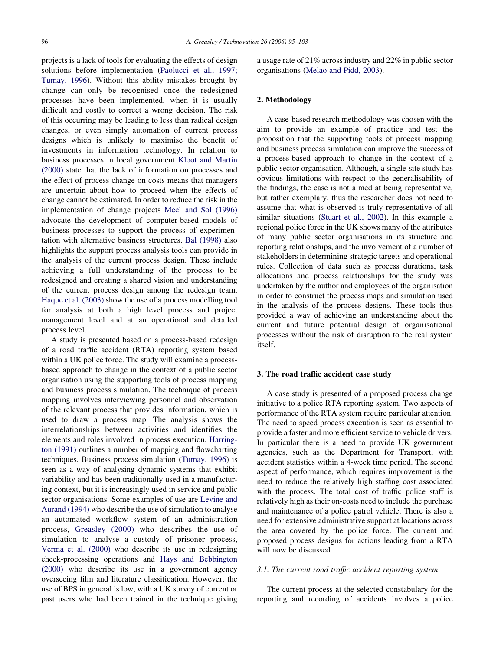projects is a lack of tools for evaluating the effects of design solutions before implementation ([Paolucci et al., 1997;](#page--1-0) [Tumay, 1996](#page--1-0)). Without this ability mistakes brought by change can only be recognised once the redesigned processes have been implemented, when it is usually difficult and costly to correct a wrong decision. The risk of this occurring may be leading to less than radical design changes, or even simply automation of current process designs which is unlikely to maximise the benefit of investments in information technology. In relation to business processes in local government [Kloot and Martin](#page--1-0) [\(2000\)](#page--1-0) state that the lack of information on processes and the effect of process change on costs means that managers are uncertain about how to proceed when the effects of change cannot be estimated. In order to reduce the risk in the implementation of change projects [Meel and Sol \(1996\)](#page--1-0) advocate the development of computer-based models of business processes to support the process of experimentation with alternative business structures. [Bal \(1998\)](#page--1-0) also highlights the support process analysis tools can provide in the analysis of the current process design. These include achieving a full understanding of the process to be redesigned and creating a shared vision and understanding of the current process design among the redesign team. [Haque et al. \(2003\)](#page--1-0) show the use of a process modelling tool for analysis at both a high level process and project management level and at an operational and detailed process level.

A study is presented based on a process-based redesign of a road traffic accident (RTA) reporting system based within a UK police force. The study will examine a processbased approach to change in the context of a public sector organisation using the supporting tools of process mapping and business process simulation. The technique of process mapping involves interviewing personnel and observation of the relevant process that provides information, which is used to draw a process map. The analysis shows the interrelationships between activities and identifies the elements and roles involved in process execution. [Harring](#page--1-0)[ton \(1991\)](#page--1-0) outlines a number of mapping and flowcharting techniques. Business process simulation ([Tumay, 1996](#page--1-0)) is seen as a way of analysing dynamic systems that exhibit variability and has been traditionally used in a manufacturing context, but it is increasingly used in service and public sector organisations. Some examples of use are [Levine and](#page--1-0) [Aurand \(1994\)](#page--1-0) who describe the use of simulation to analyse an automated workflow system of an administration process, [Greasley \(2000\)](#page--1-0) who describes the use of simulation to analyse a custody of prisoner process, [Verma et al. \(2000\)](#page--1-0) who describe its use in redesigning check-processing operations and [Hays and Bebbington](#page--1-0) [\(2000\)](#page--1-0) who describe its use in a government agency overseeing film and literature classification. However, the use of BPS in general is low, with a UK survey of current or past users who had been trained in the technique giving a usage rate of 21% across industry and 22% in public sector organisations (Melão and Pidd, 2003).

### 2. Methodology

A case-based research methodology was chosen with the aim to provide an example of practice and test the proposition that the supporting tools of process mapping and business process simulation can improve the success of a process-based approach to change in the context of a public sector organisation. Although, a single-site study has obvious limitations with respect to the generalisability of the findings, the case is not aimed at being representative, but rather exemplary, thus the researcher does not need to assume that what is observed is truly representative of all similar situations ([Stuart et al., 2002](#page--1-0)). In this example a regional police force in the UK shows many of the attributes of many public sector organisations in its structure and reporting relationships, and the involvement of a number of stakeholders in determining strategic targets and operational rules. Collection of data such as process durations, task allocations and process relationships for the study was undertaken by the author and employees of the organisation in order to construct the process maps and simulation used in the analysis of the process designs. These tools thus provided a way of achieving an understanding about the current and future potential design of organisational processes without the risk of disruption to the real system itself.

#### 3. The road traffic accident case study

A case study is presented of a proposed process change initiative to a police RTA reporting system. Two aspects of performance of the RTA system require particular attention. The need to speed process execution is seen as essential to provide a faster and more efficient service to vehicle drivers. In particular there is a need to provide UK government agencies, such as the Department for Transport, with accident statistics within a 4-week time period. The second aspect of performance, which requires improvement is the need to reduce the relatively high staffing cost associated with the process. The total cost of traffic police staff is relatively high as their on-costs need to include the purchase and maintenance of a police patrol vehicle. There is also a need for extensive administrative support at locations across the area covered by the police force. The current and proposed process designs for actions leading from a RTA will now be discussed.

### 3.1. The current road traffic accident reporting system

The current process at the selected constabulary for the reporting and recording of accidents involves a police